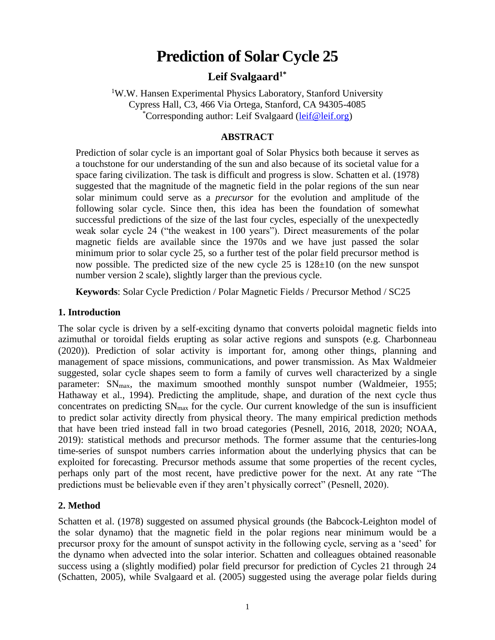# **Prediction of Solar Cycle 25**

# **Leif Svalgaard1\***

<sup>1</sup>W.W. Hansen Experimental Physics Laboratory, Stanford University Cypress Hall, C3, 466 Via Ortega, Stanford, CA 94305-4085 \*Corresponding author: Leif Svalgaard [\(leif@leif.org\)](mailto:leif@leif.org))

#### **ABSTRACT**

Prediction of solar cycle is an important goal of Solar Physics both because it serves as a touchstone for our understanding of the sun and also because of its societal value for a space faring civilization. The task is difficult and progress is slow. Schatten et al. (1978) suggested that the magnitude of the magnetic field in the polar regions of the sun near solar minimum could serve as a *precursor* for the evolution and amplitude of the following solar cycle. Since then, this idea has been the foundation of somewhat successful predictions of the size of the last four cycles, especially of the unexpectedly weak solar cycle 24 ("the weakest in 100 years"). Direct measurements of the polar magnetic fields are available since the 1970s and we have just passed the solar minimum prior to solar cycle 25, so a further test of the polar field precursor method is now possible. The predicted size of the new cycle  $25$  is  $128\pm10$  (on the new sunspot number version 2 scale), slightly larger than the previous cycle.

**Keywords**: Solar Cycle Prediction / Polar Magnetic Fields / Precursor Method / SC25

#### **1. Introduction**

The solar cycle is driven by a self-exciting dynamo that converts poloidal magnetic fields into azimuthal or toroidal fields erupting as solar active regions and sunspots (e.g. Charbonneau (2020)). Prediction of solar activity is important for, among other things, planning and management of space missions, communications, and power transmission. As Max Waldmeier suggested, solar cycle shapes seem to form a family of curves well characterized by a single parameter: SN<sub>max</sub>, the maximum smoothed monthly sunspot number (Waldmeier, 1955; Hathaway et al., 1994). Predicting the amplitude, shape, and duration of the next cycle thus concentrates on predicting  $SN_{\text{max}}$  for the cycle. Our current knowledge of the sun is insufficient to predict solar activity directly from physical theory. The many empirical prediction methods that have been tried instead fall in two broad categories (Pesnell, 2016, 2018, 2020; NOAA, 2019): statistical methods and precursor methods. The former assume that the centuries-long time-series of sunspot numbers carries information about the underlying physics that can be exploited for forecasting. Precursor methods assume that some properties of the recent cycles, perhaps only part of the most recent, have predictive power for the next. At any rate "The predictions must be believable even if they aren't physically correct" (Pesnell, 2020).

#### **2. Method**

Schatten et al. (1978) suggested on assumed physical grounds (the Babcock-Leighton model of the solar dynamo) that the magnetic field in the polar regions near minimum would be a precursor proxy for the amount of sunspot activity in the following cycle, serving as a 'seed' for the dynamo when advected into the solar interior. Schatten and colleagues obtained reasonable success using a (slightly modified) polar field precursor for prediction of Cycles 21 through 24 (Schatten, 2005), while Svalgaard et al. (2005) suggested using the average polar fields during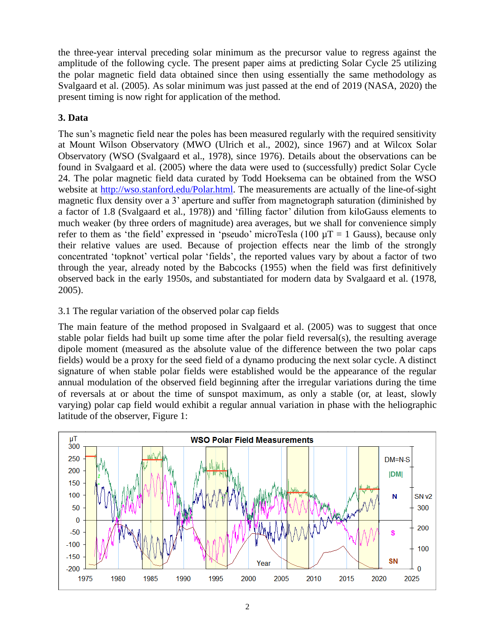the three-year interval preceding solar minimum as the precursor value to regress against the amplitude of the following cycle. The present paper aims at predicting Solar Cycle 25 utilizing the polar magnetic field data obtained since then using essentially the same methodology as Svalgaard et al. (2005). As solar minimum was just passed at the end of 2019 (NASA, 2020) the present timing is now right for application of the method.

# **3. Data**

The sun's magnetic field near the poles has been measured regularly with the required sensitivity at Mount Wilson Observatory (MWO (Ulrich et al., 2002), since 1967) and at Wilcox Solar Observatory (WSO (Svalgaard et al., 1978), since 1976). Details about the observations can be found in Svalgaard et al. (2005) where the data were used to (successfully) predict Solar Cycle 24. The polar magnetic field data curated by Todd Hoeksema can be obtained from the WSO website at [http://wso.stanford.edu/Polar.html.](http://wso.stanford.edu/Polar.html) The measurements are actually of the line-of-sight magnetic flux density over a 3' aperture and suffer from magnetograph saturation (diminished by a factor of 1.8 (Svalgaard et al., 1978)) and 'filling factor' dilution from kiloGauss elements to much weaker (by three orders of magnitude) area averages, but we shall for convenience simply refer to them as 'the field' expressed in 'pseudo' microTesla (100  $\mu$ T = 1 Gauss), because only their relative values are used. Because of projection effects near the limb of the strongly concentrated 'topknot' vertical polar 'fields', the reported values vary by about a factor of two through the year, already noted by the Babcocks (1955) when the field was first definitively observed back in the early 1950s, and substantiated for modern data by Svalgaard et al. (1978, 2005).

## 3.1 The regular variation of the observed polar cap fields

The main feature of the method proposed in Svalgaard et al. (2005) was to suggest that once stable polar fields had built up some time after the polar field reversal(s), the resulting average dipole moment (measured as the absolute value of the difference between the two polar caps fields) would be a proxy for the seed field of a dynamo producing the next solar cycle. A distinct signature of when stable polar fields were established would be the appearance of the regular annual modulation of the observed field beginning after the irregular variations during the time of reversals at or about the time of sunspot maximum, as only a stable (or, at least, slowly varying) polar cap field would exhibit a regular annual variation in phase with the heliographic latitude of the observer, Figure 1:

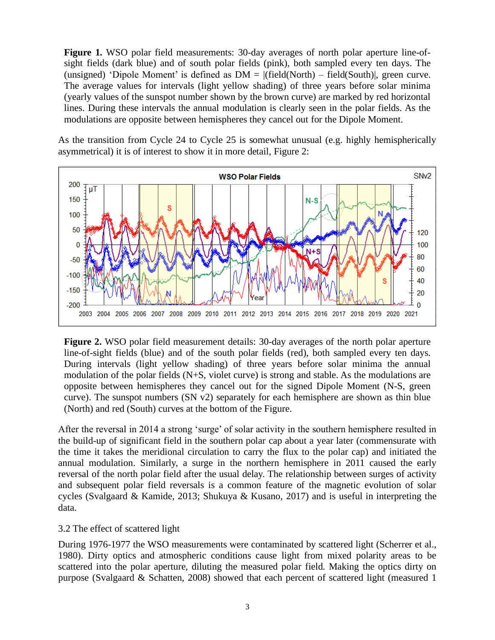**Figure 1.** WSO polar field measurements: 30-day averages of north polar aperture line-ofsight fields (dark blue) and of south polar fields (pink), both sampled every ten days. The (unsigned) 'Dipole Moment' is defined as  $DM = |(field(North) - field(South)|,$  green curve. The average values for intervals (light yellow shading) of three years before solar minima (yearly values of the sunspot number shown by the brown curve) are marked by red horizontal lines. During these intervals the annual modulation is clearly seen in the polar fields. As the modulations are opposite between hemispheres they cancel out for the Dipole Moment.

As the transition from Cycle 24 to Cycle 25 is somewhat unusual (e.g. highly hemispherically asymmetrical) it is of interest to show it in more detail, Figure 2:



**Figure 2.** WSO polar field measurement details: 30-day averages of the north polar aperture line-of-sight fields (blue) and of the south polar fields (red), both sampled every ten days. During intervals (light yellow shading) of three years before solar minima the annual modulation of the polar fields (N+S, violet curve) is strong and stable. As the modulations are opposite between hemispheres they cancel out for the signed Dipole Moment (N-S, green curve). The sunspot numbers (SN v2) separately for each hemisphere are shown as thin blue (North) and red (South) curves at the bottom of the Figure.

After the reversal in 2014 a strong 'surge' of solar activity in the southern hemisphere resulted in the build-up of significant field in the southern polar cap about a year later (commensurate with the time it takes the meridional circulation to carry the flux to the polar cap) and initiated the annual modulation. Similarly, a surge in the northern hemisphere in 2011 caused the early reversal of the north polar field after the usual delay. The relationship between surges of activity and subsequent polar field reversals is a common feature of the magnetic evolution of solar cycles (Svalgaard & Kamide, 2013; Shukuya & Kusano, 2017) and is useful in interpreting the data.

## 3.2 The effect of scattered light

During 1976-1977 the WSO measurements were contaminated by scattered light (Scherrer et al., 1980). Dirty optics and atmospheric conditions cause light from mixed polarity areas to be scattered into the polar aperture, diluting the measured polar field. Making the optics dirty on purpose (Svalgaard & Schatten, 2008) showed that each percent of scattered light (measured 1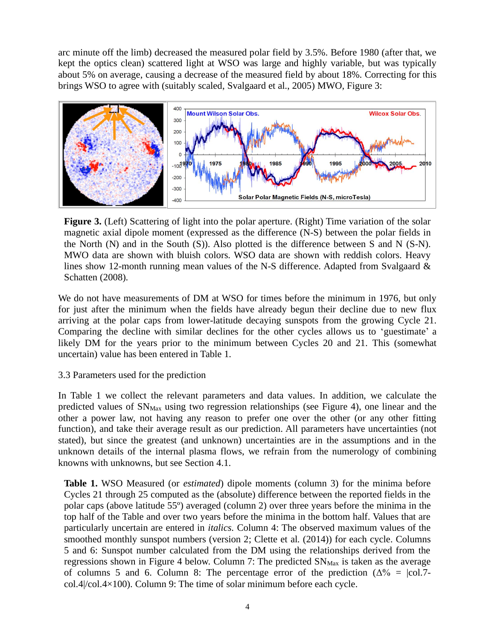arc minute off the limb) decreased the measured polar field by 3.5%. Before 1980 (after that, we kept the optics clean) scattered light at WSO was large and highly variable, but was typically about 5% on average, causing a decrease of the measured field by about 18%. Correcting for this brings WSO to agree with (suitably scaled, Svalgaard et al., 2005) MWO, Figure 3:



**Figure 3.** (Left) Scattering of light into the polar aperture. (Right) Time variation of the solar magnetic axial dipole moment (expressed as the difference (N-S) between the polar fields in the North (N) and in the South (S)). Also plotted is the difference between S and N (S-N). MWO data are shown with bluish colors. WSO data are shown with reddish colors. Heavy lines show 12-month running mean values of the N-S difference. Adapted from Svalgaard & Schatten (2008).

We do not have measurements of DM at WSO for times before the minimum in 1976, but only for just after the minimum when the fields have already begun their decline due to new flux arriving at the polar caps from lower-latitude decaying sunspots from the growing Cycle 21. Comparing the decline with similar declines for the other cycles allows us to 'guestimate' a likely DM for the years prior to the minimum between Cycles 20 and 21. This (somewhat uncertain) value has been entered in Table 1.

#### 3.3 Parameters used for the prediction

In Table 1 we collect the relevant parameters and data values. In addition, we calculate the predicted values of  $SN_{\text{Max}}$  using two regression relationships (see Figure 4), one linear and the other a power law, not having any reason to prefer one over the other (or any other fitting function), and take their average result as our prediction. All parameters have uncertainties (not stated), but since the greatest (and unknown) uncertainties are in the assumptions and in the unknown details of the internal plasma flows, we refrain from the numerology of combining knowns with unknowns, but see Section 4.1.

**Table 1.** WSO Measured (or *estimated*) dipole moments (column 3) for the minima before Cycles 21 through 25 computed as the (absolute) difference between the reported fields in the polar caps (above latitude 55º) averaged (column 2) over three years before the minima in the top half of the Table and over two years before the minima in the bottom half. Values that are particularly uncertain are entered in *italics*. Column 4: The observed maximum values of the smoothed monthly sunspot numbers (version 2; Clette et al. (2014)) for each cycle. Columns 5 and 6: Sunspot number calculated from the DM using the relationships derived from the regressions shown in Figure 4 below. Column 7: The predicted  $SN_{\text{Max}}$  is taken as the average of columns 5 and 6. Column 8: The percentage error of the prediction ( $\Delta\% = |\text{col.7} - \Delta\%|$ col.4|/col.4×100). Column 9: The time of solar minimum before each cycle.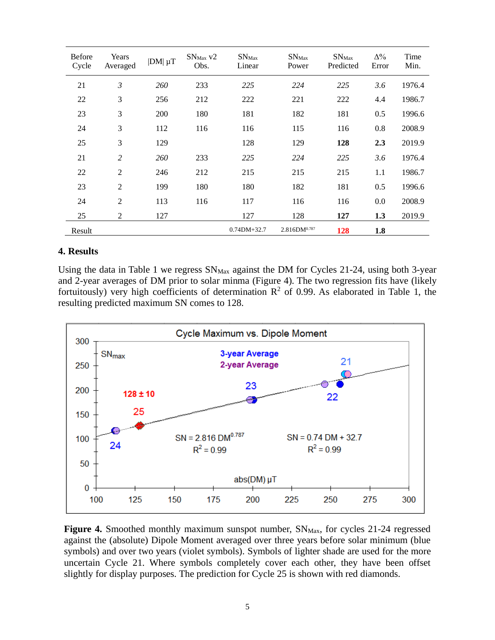| <b>Before</b><br>Cycle | Years<br>Averaged | $ DM  \mu T$ | $SN_{Max}$ v2<br>Obs. | $SN_{Max}$<br>Linear | $SN_{Max}$<br>Power | $\mathrm{SN}_\mathrm{Max}$<br>Predicted | $\Delta\%$<br>Error | Time<br>Min. |
|------------------------|-------------------|--------------|-----------------------|----------------------|---------------------|-----------------------------------------|---------------------|--------------|
| 21                     | $\mathfrak{Z}$    | 260          | 233                   | 225                  | 224                 | 225                                     | 3.6                 | 1976.4       |
| 22                     | 3                 | 256          | 212                   | 222                  | 221                 | 222                                     | 4.4                 | 1986.7       |
| 23                     | 3                 | 200          | 180                   | 181                  | 182                 | 181                                     | 0.5                 | 1996.6       |
| 24                     | 3                 | 112          | 116                   | 116                  | 115                 | 116                                     | 0.8                 | 2008.9       |
| 25                     | 3                 | 129          |                       | 128                  | 129                 | 128                                     | 2.3                 | 2019.9       |
| 21                     | $\overline{2}$    | 260          | 233                   | 225                  | 224                 | 225                                     | 3.6                 | 1976.4       |
| 22                     | $\overline{2}$    | 246          | 212                   | 215                  | 215                 | 215                                     | 1.1                 | 1986.7       |
| 23                     | $\overline{2}$    | 199          | 180                   | 180                  | 182                 | 181                                     | 0.5                 | 1996.6       |
| 24                     | $\overline{2}$    | 113          | 116                   | 117                  | 116                 | 116                                     | 0.0                 | 2008.9       |
| 25                     | $\overline{2}$    | 127          |                       | 127                  | 128                 | 127                                     | 1.3                 | 2019.9       |
| Result                 |                   |              |                       | $0.74DM + 32.7$      | $2.816DM^{0.787}$   | 128                                     | 1.8                 |              |

## **4. Results**

Using the data in Table 1 we regress  $SN_{Max}$  against the DM for Cycles 21-24, using both 3-year and 2-year averages of DM prior to solar minma (Figure 4). The two regression fits have (likely fortuitously) very high coefficients of determination  $\mathbb{R}^2$  of 0.99. As elaborated in Table 1, the resulting predicted maximum SN comes to 128.



**Figure 4.** Smoothed monthly maximum sunspot number, SN<sub>Max</sub>, for cycles 21-24 regressed against the (absolute) Dipole Moment averaged over three years before solar minimum (blue symbols) and over two years (violet symbols). Symbols of lighter shade are used for the more uncertain Cycle 21. Where symbols completely cover each other, they have been offset slightly for display purposes. The prediction for Cycle 25 is shown with red diamonds.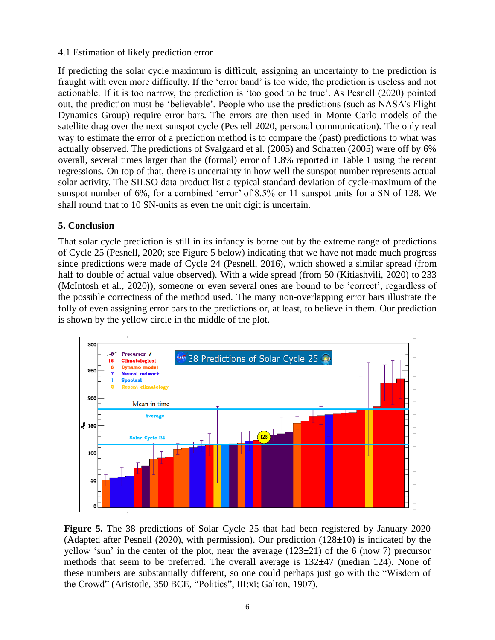#### 4.1 Estimation of likely prediction error

If predicting the solar cycle maximum is difficult, assigning an uncertainty to the prediction is fraught with even more difficulty. If the 'error band' is too wide, the prediction is useless and not actionable. If it is too narrow, the prediction is 'too good to be true'. As Pesnell (2020) pointed out, the prediction must be 'believable'. People who use the predictions (such as NASA's Flight Dynamics Group) require error bars. The errors are then used in Monte Carlo models of the satellite drag over the next sunspot cycle (Pesnell 2020, personal communication). The only real way to estimate the error of a prediction method is to compare the (past) predictions to what was actually observed. The predictions of Svalgaard et al. (2005) and Schatten (2005) were off by 6% overall, several times larger than the (formal) error of 1.8% reported in Table 1 using the recent regressions. On top of that, there is uncertainty in how well the sunspot number represents actual solar activity. The SILSO data product list a typical standard deviation of cycle-maximum of the sunspot number of 6%, for a combined 'error' of 8.5% or 11 sunspot units for a SN of 128. We shall round that to 10 SN-units as even the unit digit is uncertain.

## **5. Conclusion**

That solar cycle prediction is still in its infancy is borne out by the extreme range of predictions of Cycle 25 (Pesnell, 2020; see Figure 5 below) indicating that we have not made much progress since predictions were made of Cycle 24 (Pesnell, 2016), which showed a similar spread (from half to double of actual value observed). With a wide spread (from 50 (Kitiashvili, 2020) to 233 (McIntosh et al., 2020)), someone or even several ones are bound to be 'correct', regardless of the possible correctness of the method used. The many non-overlapping error bars illustrate the folly of even assigning error bars to the predictions or, at least, to believe in them. Our prediction is shown by the yellow circle in the middle of the plot.



**Figure 5.** The 38 predictions of Solar Cycle 25 that had been registered by January 2020 (Adapted after Pesnell  $(2020)$ , with permission). Our prediction  $(128\pm10)$  is indicated by the yellow 'sun' in the center of the plot, near the average  $(123\pm21)$  of the 6 (now 7) precursor methods that seem to be preferred. The overall average is 132±47 (median 124). None of these numbers are substantially different, so one could perhaps just go with the "Wisdom of the Crowd" (Aristotle, 350 BCE, "Politics", III:xi; Galton, 1907).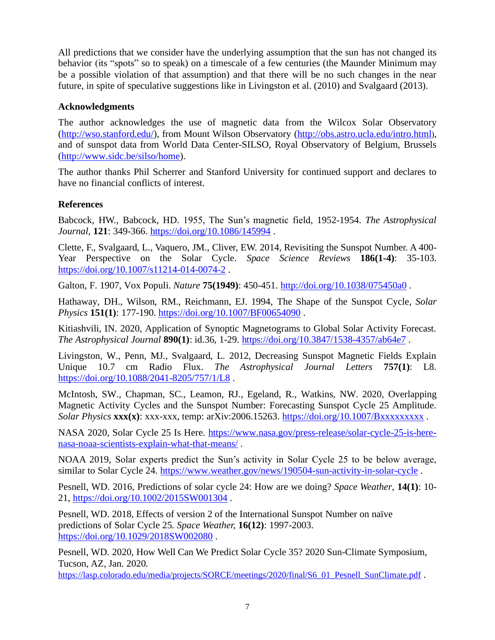All predictions that we consider have the underlying assumption that the sun has not changed its behavior (its "spots" so to speak) on a timescale of a few centuries (the Maunder Minimum may be a possible violation of that assumption) and that there will be no such changes in the near future, in spite of speculative suggestions like in Livingston et al. (2010) and Svalgaard (2013).

## **Acknowledgments**

The author acknowledges the use of magnetic data from the Wilcox Solar Observatory (http://wso.stanford.edu/), from Mount Wilson Observatory [\(http://obs.astro.ucla.edu/intro.html](http://obs.astro.ucla.edu/intro.html)), and of sunspot data from World Data Center-SILSO, Royal Observatory of Belgium, Brussels (http://www.sidc.be/silso/home).

The author thanks Phil Scherrer and Stanford University for continued support and declares to have no financial conflicts of interest.

## **References**

Babcock, HW., Babcock, HD. 1955, The Sun's magnetic field, 1952-1954. *The Astrophysical Journal,* **121**: 349-366. <https://doi.org/10.1086/145994> .

Clette, F., Svalgaard, L., Vaquero, JM., Cliver, EW. 2014, Revisiting the Sunspot Number. A 400- Year Perspective on the Solar Cycle. *Space Science Reviews* **186(1-4)**: 35-103. <https://doi.org/10.1007/s11214-014-0074-2> .

Galton, F. 1907, Vox Populi. *Nature* **75(1949)**: 450-451.<http://doi.org/10.1038/075450a0> .

Hathaway, DH., Wilson, RM., Reichmann, EJ. 1994, The Shape of the Sunspot Cycle, *Solar Physics* **151(1)**: 177-190. <https://doi.org/10.1007/BF00654090> .

Kitiashvili, IN. 2020, Application of Synoptic Magnetograms to Global Solar Activity Forecast. *The Astrophysical Journal* **890(1)**: id.36, 1-29. <https://doi.org/10.3847/1538-4357/ab64e7> .

Livingston, W., Penn, MJ., Svalgaard, L. 2012, Decreasing Sunspot Magnetic Fields Explain Unique 10.7 cm Radio Flux. *The Astrophysical Journal Letters* **757(1)**: L8. <https://doi.org/10.1088/2041-8205/757/1/L8> .

McIntosh, SW., Chapman, SC., Leamon, RJ., Egeland, R., Watkins, NW. 2020, Overlapping Magnetic Activity Cycles and the Sunspot Number: Forecasting Sunspot Cycle 25 Amplitude. *Solar Physics* **xxx(x)**: xxx-xxx, temp: arXiv:2006.15263.<https://doi.org/10.1007/Bxxxxxxxxx> .

NASA 2020, Solar Cycle 25 Is Here. [https://www.nasa.gov/press-release/solar-cycle-25-is-here](https://www.nasa.gov/press-release/solar-cycle-25-is-here-nasa-noaa-scientists-explain-what-that-means/)[nasa-noaa-scientists-explain-what-that-means/](https://www.nasa.gov/press-release/solar-cycle-25-is-here-nasa-noaa-scientists-explain-what-that-means/) .

NOAA 2019, Solar experts predict the Sun's activity in Solar Cycle 25 to be below average, similar to Solar Cycle 24.<https://www.weather.gov/news/190504-sun-activity-in-solar-cycle>.

Pesnell, WD. 2016, Predictions of solar cycle 24: How are we doing? *Space Weather*, **14(1)**: 10- 21, <https://doi.org/10.1002/2015SW001304> .

Pesnell, WD. 2018, Effects of version 2 of the International Sunspot Number on naïve predictions of Solar Cycle 25. *Space Weather,* **16(12)**: 1997-2003. <https://doi.org/10.1029/2018SW002080> .

Pesnell, WD. 2020, How Well Can We Predict Solar Cycle 35? 2020 Sun-Climate Symposium, Tucson, AZ, Jan. 2020.

[https://lasp.colorado.edu/media/projects/SORCE/meetings/2020/final/S6\\_01\\_Pesnell\\_SunClimate.pdf](https://lasp.colorado.edu/media/projects/SORCE/meetings/2020/final/S6_01_Pesnell_SunClimate.pdf) .